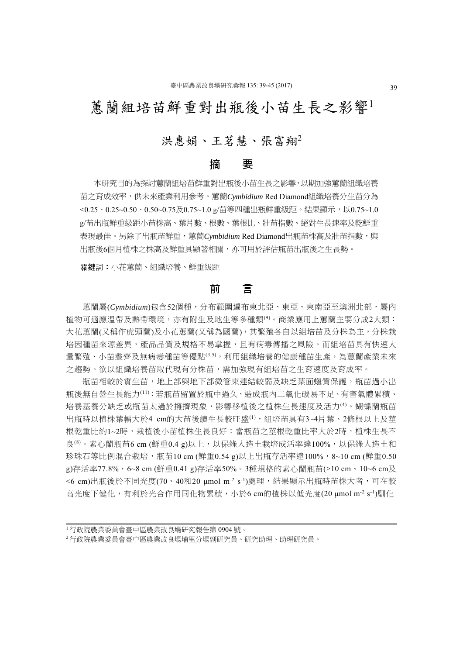# 蕙蘭組培苗鮮重對出瓶後小苗生長之影響

# 洪惠娟、王茗慧、張富翔<sup>2</sup>

## 摘 要

本研究目的為探討蕙蘭組培苗鮮重對出瓶後小苗生長之影響,以期加強蕙蘭組織培養 苗之育成效率,供未來產業利用參考。蕙蘭*Cymbidium* Red Diamond組織培養分生苗分為 <0.25、0.25~0.50、0.50~0.75及0.75~1.0 g/苗等四種出瓶鮮重級距。結果顯示,以0.75~1.0 g/苗出瓶鮮重級距小苗株高、葉片數、根數、葉根比、壯苗指數、絕對生長速率及乾鮮重 表現最佳。另除了出瓶苗鮮重,蕙蘭 Cymbidium Red Diamond出瓶苗株高及壯苗指數,與 出瓶後6個月植株之株高及鮮重具顯著相關,亦可用於評估瓶苗出瓶後之生長勢。

關鍵詞:小花蕙蘭、組織培養、鮮重級距

## 前 言

蕙蘭屬(*Cymbidium*)包含52個種,分布範圍遍布東北亞、東亞、東南亞至澳洲北部,屬內 植物可適應溫帶及熱帶環境,亦有附生及地生等多種類(9)。商業應用上蕙蘭主要分成2大類: 大花薫蘭(又稱作虎頭蘭)及小花薫蘭(又稱為國蘭),其繁殖各自以組培苗及分株為主,分株栽 培因種苗來源差異,產品品質及規格不易掌握,且有病毒傳播之風險。而組培苗具有快速大 量繁殖、小苗整齊及無病毒種苗等優點(3,5),利用組織培養的健康種苗生產,為蕙蘭產業未來 之趨勢。欲以組織培養苗取代現有分株苗,需加強現有組培苗之生育速度及育成率。

瓶苗相較於實生苗,地上部與地下部微管束連結較弱及缺乏葉面蠟質保護,瓶苗過小出 瓶後無自營生長能力(11);若瓶苗留置於瓶中過久,造成瓶內二氧化碳易不足、有害氣體累積、 培養基養分缺乏或瓶苗太過於擁擠現象,影響移植後之植株生長速度及活力(4)。蝴蝶蘭瓶苗 出瓶時以植株葉幅大於4 cm的大苗後續生長較旺盛(1),組培苗具有3~4片葉、2條根以上及莖 根乾重比約1~2時,栽植後小苗植株生長良好;當瓶苗之莖根乾重比率大於2時,植株生長不 良<sup>(8)</sup>。素心蘭瓶苗6 cm (鮮重0.4 g)以上,以保綠人造土栽培成活率達100%,以保綠人造土和 珍珠石等比例混合栽培,瓶苗10 cm (鮮重0.54 g)以上出瓶存活率達100%, 8~10 cm (鮮重0.50 g)存活率77.8%,6~8 cm (鮮重0.41 g)存活率50%。3種規格的素心蘭瓶苗(>10 cm、10~6 cm及 <6 cm)出瓶後於不同光度(70、40和20 umol m<sup>-2</sup> s<sup>-1</sup>)處理,結果顯示出瓶時苗株大者,可在較 高光度下健化,有利於光合作用同化物累積,小於6 cm的植株以低光度(20 μmol m<sup>-2</sup> s<sup>-1</sup>)馴化

<sup>1</sup>行政院農業委員會臺中區農業改良場研究報告第 0904 號。

<sup>2</sup>行政院農業委員會臺中區農業改良場埔里分場副研究員、研究助理、助理研究員。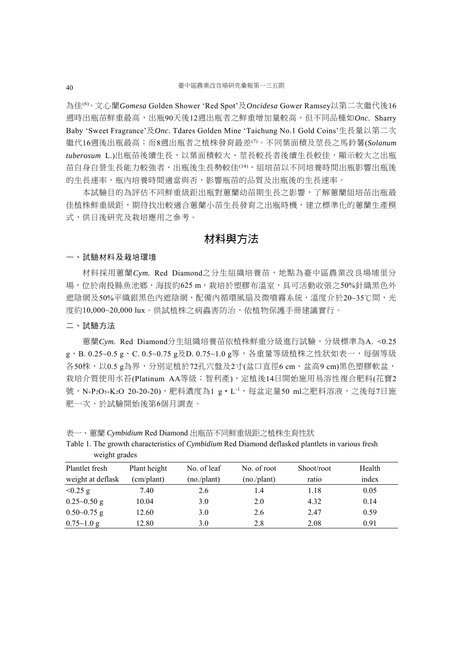為佳(6)。文心蘭*Gomesa* Golden Shower 'Red Spot'及*Oncidesa* Gower Ramsey以第二次繼代後16 週時出瓶苗鮮重最高,出瓶90天後12週出瓶者之鮮重增加量較高,但不同品種如*Onc.* Sharry Baby 'Sweet Fragrance'及*Onc.* Tdares Golden Mine 'Taichung No.1 Gold Coins'生長量以第二次 繼代16週後出瓶最高;而8週出瓶者之植株發育最差(7)。不同葉面積及莖長之馬鈴薯(*Solanum tuberosum* L.)出瓶苗後續生長,以葉面積較大、莖長較長者後續生長較佳,顯示較大之出瓶 苗自身自營生長能力較強者,出瓶後生長勢較佳(14),組培苗以不同培養時間出瓶影響出瓶後 的生長速率,瓶內培養時間適當與否,影響瓶苗的品質及出瓶後的生長速率。

本試驗目的為評估不同鮮重級距出瓶對蕙蘭幼苗期生長之影響,了解蕙蘭組培苗出瓶最 佳植株鮮重級距,期待找出較適合蕙蘭小苗生長發育之出瓶時機,建立標準化的蕙蘭生產模 式,供日後研究及栽培應用之參考。

## 材料與方法

#### 一、試驗材料及栽培環境

材料採用蕙蘭*Cym.* Red Diamond之分生組織培養苗,地點為臺中區農業改良場埔里分 場,位於南投縣魚池鄉,海拔約625 m,栽培於塑膠布溫室,具可活動收張之50%針織黑色外 遮陰網及50%平織銀黑色內遮陰網,配備內循環風扇及微噴霧系統,溫度介於20~35℃間,光 度約10,000~20,000 lux。供試植株之病蟲害防治,依植物保護手冊建議實行。

#### 二、試驗方法

蕙蘭*Cym.* Red Diamond分生組織培養苗依植株鮮重分級進行試驗,分級標準為A. <0.25 g、B. 0.25~0.5 g、C. 0.5~0.75 g及D. 0.75~1.0 g等,各重量等級植株之性狀如表一,每個等級 各50株,以0.5 g為界,分別定植於72孔穴盤及2寸(盆口直徑6 cm、盆高9 cm)黑色塑膠軟盆, 栽培介質使用水苔(Platinum AA等級;智利產),定植後14日開始施用易溶性複合肥料(花寶2 號,N-P<sub>2</sub>O<sub>5</sub>-K<sub>2</sub>O 20-20-20),肥料濃度為1 g · L<sup>-1</sup>,每盆定量50 ml之肥料溶液,之後每7日施 肥一次,於試驗開始後第6個月調查。

表一、蕙蘭 *Cymbidium* Red Diamond 出瓶苗不同鮮重級距之植株生育性狀

| $m_{\rm H,III}$ gruuvo |              |             |             |            |        |  |
|------------------------|--------------|-------------|-------------|------------|--------|--|
| Plantlet fresh         | Plant height | No. of leaf | No. of root | Shoot/root | Health |  |
| weight at deflask      | (cm/plant)   | (no./plant) | (no./plant) | ratio      | index  |  |
| $< 0.25$ g             | 7.40         | 2.6         | 1.4         | 1.18       | 0.05   |  |
| $0.25 - 0.50$ g        | 10.04        | 3.0         | 2.0         | 4.32       | 0.14   |  |
| $0.50 - 0.75$ g        | 12.60        | 3.0         | 2.6         | 2.47       | 0.59   |  |
| $0.75 \sim 1.0$ g      | 12.80        | 3.0         | 2.8         | 2.08       | 0.91   |  |

Table 1. The growth characteristics of *Cymbidium* Red Diamond deflasked plantlets in various fresh weight grades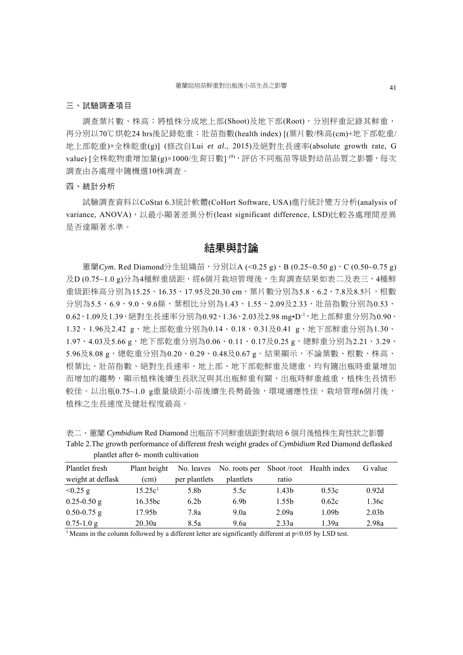#### 三、試驗調查項目

調查葉片數、株高;將植株分成地上部(Shoot)及地下部(Root),分別秤重記錄其鮮重, 再分別以70℃烘乾24 hrs後記錄乾重;壯苗指數(health index) [(葉片數/株高(cm)+地下部乾重/ 地上部乾重)×全株乾重(g)] (修改自Lui *et al*., 2015)及絕對生長速率(absolute growth rate, G value) [全株乾物重增加量(g)×1000/生育日數]<sup>(9),</sup>評估不同瓶苗等級對幼苗品質之影響,每次 調查由各處理中隨機選10株調查。

### 四、統計分析

試驗調查資料以CoStat 6.3統計軟體(CoHort Software, USA)進行統計變方分析(analysis of variance, ANOVA), 以最小顯著差異分析(least significant difference, LSD)比較各處理間差異 是否達顯著水準。

## 結果與討論

蕙蘭*Cym.* Red Diamond分生組織苗,分別以A (<0.25 g)、B (0.25~0.50 g)、C (0.50~0.75 g) 及D (0.75~1.0 g)分為4種鮮重級距,經6個月栽培管理後,生育調查結果如表二及表三,4種鮮 重級距株高分別為15.25、16.35、17.95及20.30 cm,葉片數分別為5.8、6.2、7.8及8.5片,根數 分別為5.5、6.9、9.0、9.6條,葉根比分別為1.43、1.55、2.09及2.33,壯苗指數分別為0.53、 0.62、1.09及1.39,絕對生長速率分別為0.92、1.36、2.03及2.98 mg•D-1,地上部鮮重分別為0.90、 1.32、1.96及2.42 g,地上部乾重分別為0.14、0.18、0.31及0.41 g,地下部鮮重分別為1.30、 1.97、4.03及5.66g,地下部乾重分別為0.06、0.11、0.17及0.25g,總鮮重分別為2.21、3.29、 5.96及8.08 g,總乾重分別為0.20、0.29、0.48及0.67 g。結果顯示,不論葉數、根數、株高、 根葉比、壯苗指數、絕對生長速率、地上部、地下部乾鮮重及總重,均有隨出瓶時重量增加 而增加的趨勢,顯示植株後續生長狀況與其出瓶鮮重有關,出瓶時鮮重越重,植株生長情形 較佳。以出瓶0.75~1.0 g重量級距小苗後續生長勢最強,環境適應性佳,栽培管理6個月後, 植株之生長速度及健壯程度最高。

| Plantlet fresh    | Plant height        |                  | No. leaves No. roots per Shoot /root Health index |                   |       | G value           |  |
|-------------------|---------------------|------------------|---------------------------------------------------|-------------------|-------|-------------------|--|
| weight at deflask | (cm)                | per plantlets    | plantlets                                         | ratio             |       |                   |  |
| $< 0.25$ g        | 15.25c <sup>1</sup> | 5.8b             | 5.5c                                              | 1.43 <sub>b</sub> | 0.53c | 0.92d             |  |
| $0.25 - 0.50$ g   | 16.35 <sub>bc</sub> | 6.2 <sub>b</sub> | 6.9 <sub>b</sub>                                  | 1.55b             | 0.62c | 1.36c             |  |
| $0.50 - 0.75$ g   | 17.95b              | 7.8a             | 9.0a                                              | 2.09a             | 1.09b | 2.03 <sub>b</sub> |  |

0.75-1.0 g 20.30a 8.5a 9.6a 2.33a 1.39a 2.98a

表二、蕙蘭 *Cymbidium* Red Diamond 出瓶苗不同鮮重級距對栽培 6 個月後植株生育性狀之影響 Table 2.The growth performance of different fresh weight grades of *Cymbidium* Red Diamond deflasked plantlet after 6- month cultivation

<sup>1</sup> Means in the column followed by a different letter are significantly different at p<0.05 by LSD test.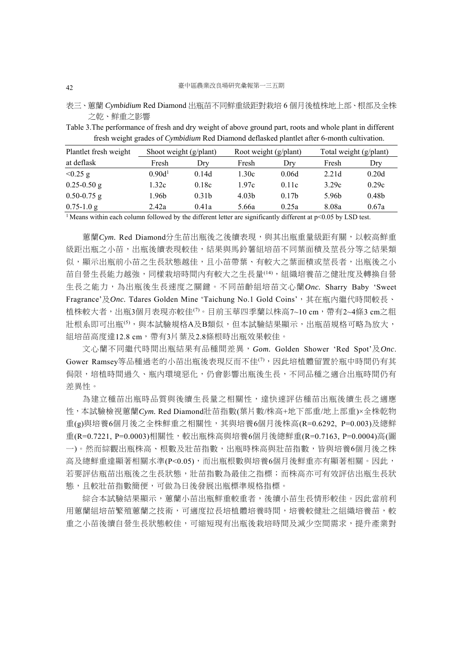表三、蕙蘭 *Cymbidium* Red Diamond 出瓶苗不同鮮重級距對栽培 6 個月後植株地上部、根部及全株 之乾、鮮重之影響

Table 3.The performance of fresh and dry weight of above ground part, roots and whole plant in different fresh weight grades of *Cymbidium* Red Diamond deflasked plantlet after 6-month cultivation.

| Plantlet fresh weight | Shoot weight (g/plant) |                   | Root weight (g/plant) |                   | Total weight (g/plant) |                   |
|-----------------------|------------------------|-------------------|-----------------------|-------------------|------------------------|-------------------|
| at deflask            | Fresh                  | Dry               | Fresh                 | Dry               | Fresh                  | Dry               |
| $< 0.25$ g            | 0.90d <sup>1</sup>     | 0.14d             | 1.30c                 | 0.06d             | 2.21d                  | 0.20d             |
| $0.25 - 0.50$ g       | 1.32c                  | 0.18c             | 1.97c                 | 0.11c             | 3.29c                  | 0.29c             |
| $0.50 - 0.75$ g       | 1.96b                  | 0.31 <sub>b</sub> | 4.03 <sub>b</sub>     | 0.17 <sub>b</sub> | 5.96 <sub>b</sub>      | 0.48 <sub>b</sub> |
| $0.75 - 1.0$ g        | 2.42a                  | 0.41a             | 5.66a                 | 0.25a             | 8.08a                  | 0.67a             |
| $1 - 1$               |                        |                   |                       |                   |                        |                   |

<sup>1</sup> Means within each column followed by the different letter are significantly different at p<0.05 by LSD test.

蕙蘭Cym. Red Diamond分生苗出瓶後之後續表現,與其出瓶重量級距有關,以較高鮮重 級距出瓶之小苗,出瓶後續表現較佳,結果與馬鈴薯組培苗不同葉面積及莖長分等之結果類 似,顯示出瓶前小苗之生長狀態越佳,且小苗帶葉、有較大之葉面積或萃長者,出瓶後之小 苗自營生長能力越強,同樣栽培時間內有較大之生長量(14),組織培養苗之健壯度及轉換自營 生長之能力,為出瓶後生長速度之關鍵。不同苗齡組培苗文心蘭*Onc.* Sharry Baby 'Sweet Fragrance'及Onc. Tdares Golden Mine 'Taichung No.1 Gold Coins', 其在瓶内繼代時間較長、 植株較大者,出瓶3個月表現亦較佳(7)。目前玉華四季蘭以株高7~10 cm,帶有2~4條3 cm之粗 壯根系即可出瓶<sup>(5),</sup>與本試驗規格A及B類似,但本試驗結果顯示,出瓶苗規格可略為放大, 組培苗高度達12.8 cm, 帶有3片葉及2.8條根時出瓶效果較佳。

文心蘭不同繼代時間出瓶結果有品種間差異,*Gom.* Golden Shower 'Red Spot'及*Onc*. Gower Ramsey等品種過老的小苗出瓶後表現反而不佳(7),因此培植體留置於瓶中時間仍有其 侷限,培植時間過久、瓶內環境惡化,仍會影響出瓶後生長,不同品種之適合出瓶時間仍有 差異性。

為建立種苗出瓶時品質與後續生長量之相關性,達快速評估種苗出瓶後續生長之適應 性,本試驗檢視蕙蘭*Cym.* Red Diamond壯苗指數(葉片數/株高+地下部重/地上部重)×全株乾物 重(g)與培養6個月後之全株鮮重之相關性,其與培養6個月後株高(R=0.6292, P=0.003)及總鮮 重(R=0.7221, P=0.0003)相關性,較出瓶株高與培養6個月後總鮮重(R=0.7163, P=0.0004)高(圖 一)。然而綜觀出瓶株高、根數及壯苗指數,出瓶時株高與壯苗指數,皆與培養6個月後之株 高及總鮮重達顯著相關水準(P<0.05),而出瓶根數與培養6個月後鮮重亦有顯著相關。因此, 若要評估瓶苗出瓶後之生長狀態,壯苗指數為最佳之指標;而株高亦可有效評估出瓶生長狀 態,且較壯苗指數簡便,可做為日後發展出瓶標準規格指標。

綜合本試驗結果顯示,蕙蘭小苗出瓶鮮重較重者,後續小苗生長情形較佳。因此當前利 用蕙蘭組培苗繁殖蕙蘭之技術,可適度拉長培植體培養時間,培養較健壯之組織培養苗,較 重之小苗後續自營生長狀態較佳,可縮短現有出瓶後栽培時間及減少空間需求,提升產業對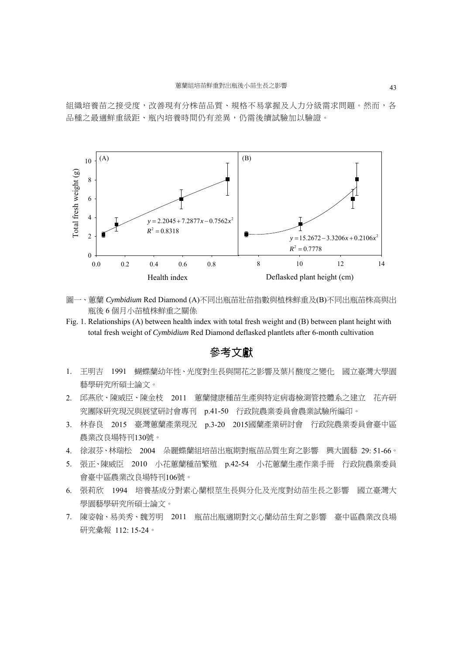組織培養苗之接受度,改善現有分株苗品質、規格不易掌握及人力分級需求問題。然而,各 品種之最適鮮重級距、瓶內培養時間仍有差異,仍需後續試驗加以驗證。



- 圖一、蕙蘭 *Cymbidium* Red Diamond (A)不同出瓶苗壯苗指數與植株鮮重及(B)不同出瓶苗株高與出 瓶後 6 個月小苗植株鮮重之關係
- Fig. 1. Relationships (A) between health index with total fresh weight and (B) between plant height with total fresh weight of *Cymbidium* Red Diamond deflasked plantlets after 6-month cultivation

## 參考文獻

- 1. 王明吉 1991 蝴蝶蘭幼年性、光度對生長與開花之影響及葉片酸度之變化 國立臺灣大學園 藝學研究所碩士論文。
- 2. 邱燕欣、陳威臣、陳金枝 2011 蕙蘭健康種苗生產與特定病毒檢測管控體系之建立 花卉研 究團隊研究現況與展望研討會專刊 p.41-50 行政院農業委員會農業試驗所編印。
- 3. 林春良 2015 臺灣蕙蘭產業現況 p.3-20 2015國蘭產業研討會 行政院農業委員會臺中區 農業改良場特刊130號。
- 4. 徐淑芬、林瑞松 2004 朵麗蝶蘭組培苗出瓶期對瓶苗品質生育之影響 興大園藝 29: 51-66。
- 5. 張正、陳威臣 2010 小花蕙蘭種苗繁殖 p.42-54 小花蕙蘭生產作業手冊 行政院農業委員 會臺中區農業改良場特刊106號。
- 6. 張莉欣 1994 培養基成分對素心蘭根莖生長與分化及光度對幼苗生長之影響 國立臺灣大 學園藝學研究所碩士論文。
- 7. 陳姿翰、易美秀、魏芳明 2011 瓶苗出瓶適期對文心蘭幼苗生育之影響 臺中區農業改良場 研究彙報 112: 15-24。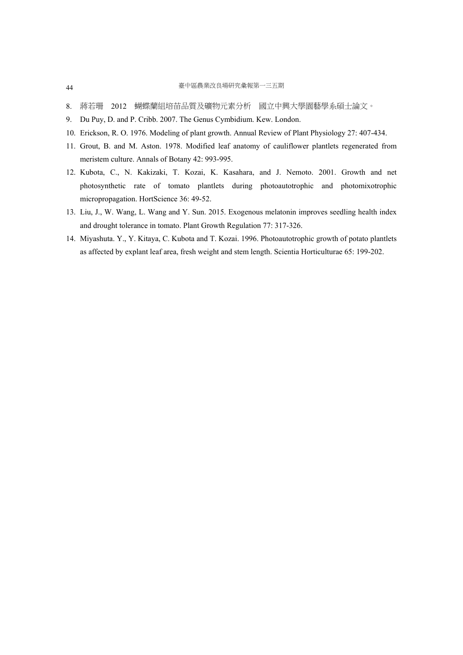- 8. 蔣若珊 2012 蝴蝶蘭組培苗品質及礦物元素分析 國立中興大學園藝學系碩士論文。
- 9. Du Puy, D. and P. Cribb. 2007. The Genus Cymbidium. Kew. London.
- 10. Erickson, R. O. 1976. Modeling of plant growth. Annual Review of Plant Physiology 27: 407-434.
- 11. Grout, B. and M. Aston. 1978. Modified leaf anatomy of cauliflower plantlets regenerated from meristem culture. Annals of Botany 42: 993-995.
- 12. Kubota, C., N. Kakizaki, T. Kozai, K. Kasahara, and J. Nemoto. 2001. Growth and net photosynthetic rate of tomato plantlets during photoautotrophic and photomixotrophic micropropagation. HortScience 36: 49-52.
- 13. Liu, J., W. Wang, L. Wang and Y. Sun. 2015. Exogenous melatonin improves seedling health index and drought tolerance in tomato. Plant Growth Regulation 77: 317-326.
- 14. Miyashuta. Y., Y. Kitaya, C. Kubota and T. Kozai. 1996. Photoautotrophic growth of potato plantlets as affected by explant leaf area, fresh weight and stem length. Scientia Horticulturae 65: 199-202.